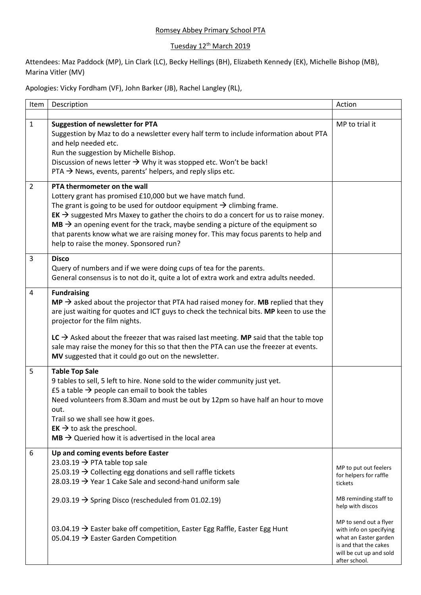## Romsey Abbey Primary School PTA

## Tuesday 12<sup>th</sup> March 2019

Attendees: Maz Paddock (MP), Lin Clark (LC), Becky Hellings (BH), Elizabeth Kennedy (EK), Michelle Bishop (MB), Marina Vitler (MV)

Apologies: Vicky Fordham (VF), John Barker (JB), Rachel Langley (RL),

| Item           | Description                                                                                                                                                                                                                                                                                                                                                                                                                                                                                                          | Action                                                                                                                                                              |
|----------------|----------------------------------------------------------------------------------------------------------------------------------------------------------------------------------------------------------------------------------------------------------------------------------------------------------------------------------------------------------------------------------------------------------------------------------------------------------------------------------------------------------------------|---------------------------------------------------------------------------------------------------------------------------------------------------------------------|
| $\mathbf{1}$   | <b>Suggestion of newsletter for PTA</b><br>Suggestion by Maz to do a newsletter every half term to include information about PTA<br>and help needed etc.<br>Run the suggestion by Michelle Bishop.<br>Discussion of news letter $\rightarrow$ Why it was stopped etc. Won't be back!<br>PTA $\rightarrow$ News, events, parents' helpers, and reply slips etc.                                                                                                                                                       | MP to trial it                                                                                                                                                      |
| $\overline{2}$ | PTA thermometer on the wall<br>Lottery grant has promised £10,000 but we have match fund.<br>The grant is going to be used for outdoor equipment $\rightarrow$ climbing frame.<br>$EK \rightarrow$ suggested Mrs Maxey to gather the choirs to do a concert for us to raise money.<br>$MB \rightarrow$ an opening event for the track, maybe sending a picture of the equipment so<br>that parents know what we are raising money for. This may focus parents to help and<br>help to raise the money. Sponsored run? |                                                                                                                                                                     |
| 3              | <b>Disco</b><br>Query of numbers and if we were doing cups of tea for the parents.<br>General consensus is to not do it, quite a lot of extra work and extra adults needed.                                                                                                                                                                                                                                                                                                                                          |                                                                                                                                                                     |
| 4              | <b>Fundraising</b><br>$MP \rightarrow$ asked about the projector that PTA had raised money for. MB replied that they<br>are just waiting for quotes and ICT guys to check the technical bits. MP keen to use the<br>projector for the film nights.<br>LC $\rightarrow$ Asked about the freezer that was raised last meeting. MP said that the table top<br>sale may raise the money for this so that then the PTA can use the freezer at events.<br>MV suggested that it could go out on the newsletter.             |                                                                                                                                                                     |
| 5              | <b>Table Top Sale</b><br>9 tables to sell, 5 left to hire. None sold to the wider community just yet.<br>£5 a table $\rightarrow$ people can email to book the tables<br>Need volunteers from 8.30am and must be out by 12pm so have half an hour to move<br>out.<br>Trail so we shall see how it goes.<br>$EK \rightarrow$ to ask the preschool.<br>$MB \rightarrow$ Queried how it is advertised in the local area                                                                                                 |                                                                                                                                                                     |
| 6              | Up and coming events before Easter<br>23.03.19 $\rightarrow$ PTA table top sale<br>25.03.19 $\rightarrow$ Collecting egg donations and sell raffle tickets<br>28.03.19 $\rightarrow$ Year 1 Cake Sale and second-hand uniform sale<br>29.03.19 $\rightarrow$ Spring Disco (rescheduled from 01.02.19)                                                                                                                                                                                                                | MP to put out feelers<br>for helpers for raffle<br>tickets<br>MB reminding staff to                                                                                 |
|                | 03.04.19 $\rightarrow$ Easter bake off competition, Easter Egg Raffle, Easter Egg Hunt<br>05.04.19 $\rightarrow$ Easter Garden Competition                                                                                                                                                                                                                                                                                                                                                                           | help with discos<br>MP to send out a flyer<br>with info on specifying<br>what an Easter garden<br>is and that the cakes<br>will be cut up and sold<br>after school. |